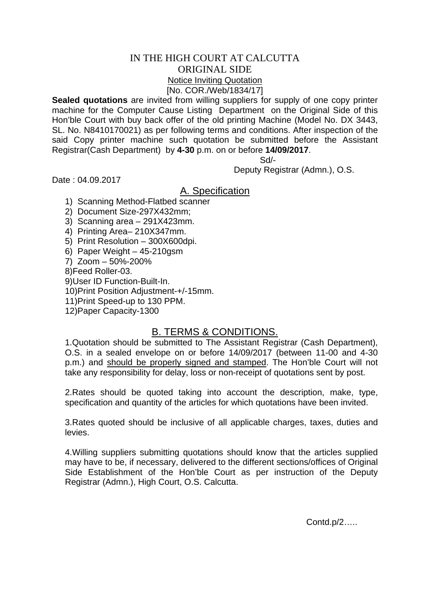## IN THE HIGH COURT AT CALCUTTA ORIGINAL SIDE Notice Inviting Quotation [No. COR./Web/1834/17]

**Sealed quotations** are invited from willing suppliers for supply of one copy printer machine for the Computer Cause Listing Department on the Original Side of this Hon'ble Court with buy back offer of the old printing Machine (Model No. DX 3443, SL. No. N8410170021) as per following terms and conditions. After inspection of the said Copy printer machine such quotation be submitted before the Assistant Registrar(Cash Department) by **4-30** p.m. on or before **14/09/2017**.

Sd/-

Deputy Registrar (Admn.), O.S.

Date : 04.09.2017

## A. Specification

- 1) Scanning Method-Flatbed scanner
- 2) Document Size-297X432mm;
- 3) Scanning area 291X423mm.
- 4) Printing Area– 210X347mm.
- 5) Print Resolution 300X600dpi.
- 6) Paper Weight 45-210gsm
- 7) Zoom 50%-200%
- 8)Feed Roller-03.
- 9)User ID Function-Built-In.
- 10)Print Position Adjustment-+/-15mm.
- 11)Print Speed-up to 130 PPM.
- 12)Paper Capacity-1300

## B. TERMS & CONDITIONS.

1.Quotation should be submitted to The Assistant Registrar (Cash Department), O.S. in a sealed envelope on or before 14/09/2017 (between 11-00 and 4-30 p.m.) and should be properly signed and stamped. The Hon'ble Court will not take any responsibility for delay, loss or non-receipt of quotations sent by post.

2.Rates should be quoted taking into account the description, make, type, specification and quantity of the articles for which quotations have been invited.

3.Rates quoted should be inclusive of all applicable charges, taxes, duties and levies.

4.Willing suppliers submitting quotations should know that the articles supplied may have to be, if necessary, delivered to the different sections/offices of Original Side Establishment of the Hon'ble Court as per instruction of the Deputy Registrar (Admn.), High Court, O.S. Calcutta.

Contd.p/2…..